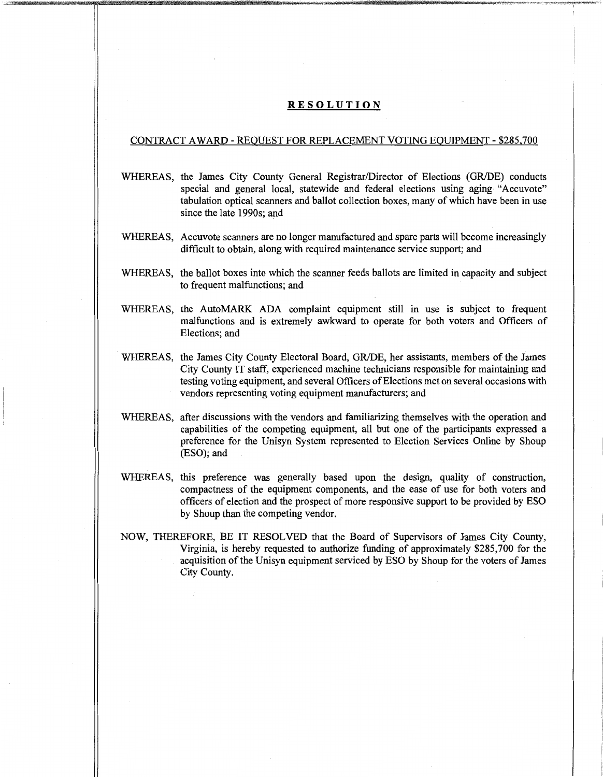## **RESOLUTION**

## CONTRACT AWARD - REQUEST FOR REPLACEMENT VOTING EQUIPMENT - \$285,700

- WHEREAS, the James City County General Registrar/Director of Elections (GR/DE) conducts special and general local, statewide and federal elections using aging "Accuvote" tabulation optical scanners and ballot collection boxes, many of which have been in use since the late 1990s; and
- WHEREAS, Accuvote scanners are no longer manufactured and spare parts will become increasingly difficult to obtain, along with required maintenance service support; and
- WHEREAS, the ballot boxes into which the scanner feeds ballots are limited in capacity and subject to frequent malfunctions; and
- WHEREAS, the AutoMARK ADA complaint equipment still in use is subject to frequent malfunctions and is extremely awkward to operate for both voters and Officers of Elections: and
- WHEREAS, the James City County Electoral Board, GR/DE, her assistants, members of the James City County IT staff, experienced machine technicians responsible for maintaining and testing voting equipment, and several Officers of Elections met on several occasions with vendors representing voting equipment manufacturers; and
- WHEREAS, after discussions with the vendors and familiarizing themselves with the operation and capabilities of the competing equipment, all but one of the participants expressed a preference for the Unisyn System represented to Election Services Online by Shoup (ESO); and
- WHEREAS, this preference was generally based upon the design, quality of construction, compactness of the equipment components, and the ease of use for both voters and officers of election and the prospect of more responsive support to be provided by ESO by Shoup than the competing vendor.
- NOW, THEREFORE, BE IT RESOLVED that the Board of Supervisors of James City County, Virginia, is hereby requested to authorize funding of approximately \$285,700 for the acquisition of the Unisyn equipment serviced by ESO by Shoup for the voters of James City County.